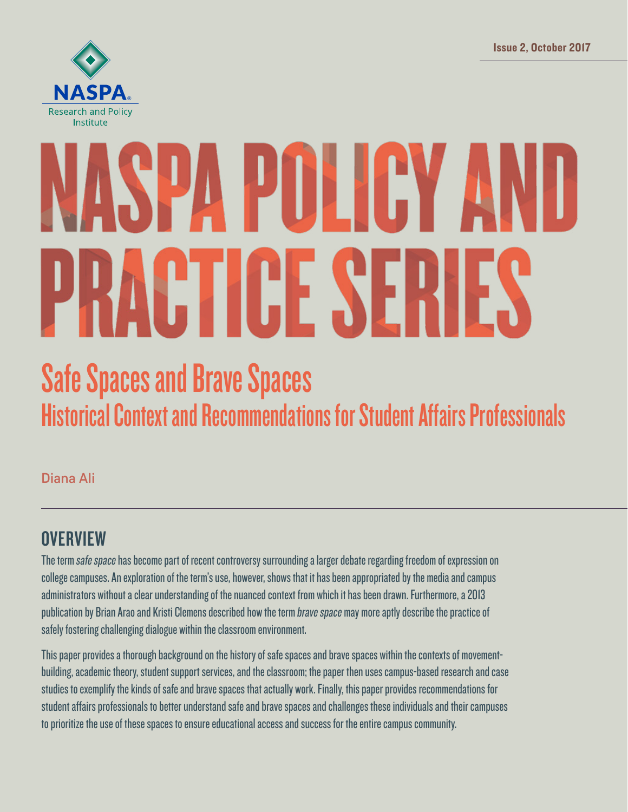Issue 2, October 2017



# PA PULICY A RACTICE SERIES

# Safe Spaces and Brave Spaces Historical Context and Recommendations for Student Affairs Professionals

Diana Ali

# **OVERVIEW**

The term safe space has become part of recent controversy surrounding a larger debate regarding freedom of expression on college campuses. An exploration of the term's use, however, shows that it has been appropriated by the media and campus administrators without a clear understanding of the nuanced context from which it has been drawn. Furthermore, a 2013 publication by Brian Arao and Kristi Clemens described how the term *brave space* may more aptly describe the practice of safely fostering challenging dialogue within the classroom environment.

This paper provides a thorough background on the history of safe spaces and brave spaces within the contexts of movementbuilding, academic theory, student support services, and the classroom; the paper then uses campus-based research and case studies to exemplify the kinds of safe and brave spaces that actually work. Finally, this paper provides recommendations for student affairs professionals to better understand safe and brave spaces and challenges these individuals and their campuses to prioritize the use of these spaces to ensure educational access and success for the entire campus community.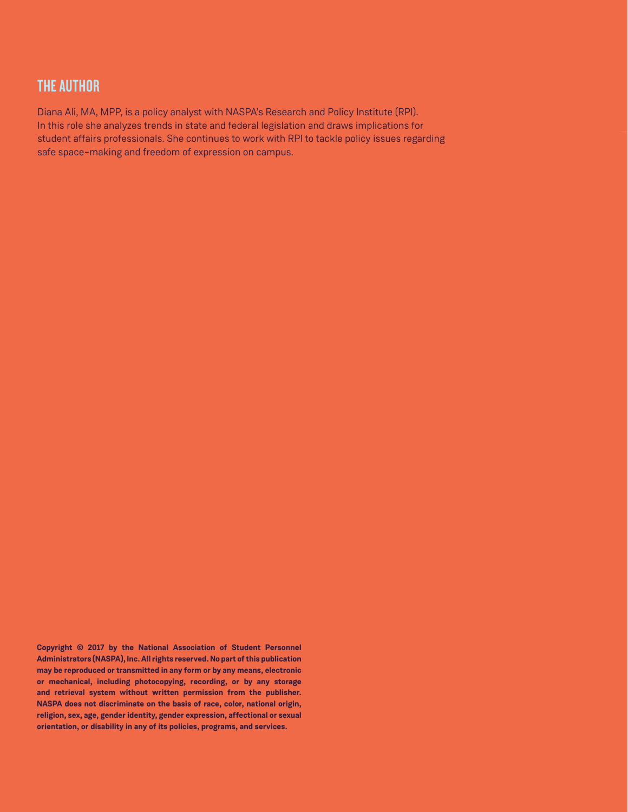#### THE AUTHOR

Diana Ali, MA, MPP, is a policy analyst with NASPA's Research and Policy Institute (RPI). In this role she analyzes trends in state and federal legislation and draws implications for student affairs professionals. She continues to work with RPI to tackle policy issues regarding safe space–making and freedom of expression on campus.

**Copyright © 2017 by the National Association of Student Personnel Administrators (NASPA), Inc. All rights reserved. No part of this publication may be reproduced or transmitted in any form or by any means, electronic or mechanical, including photocopying, recording, or by any storage and retrieval system without written permission from the publisher. NASPA does not discriminate on the basis of race, color, national origin, religion, sex, age, gender identity, gender expression, affectional or sexual orientation, or disability in any of its policies, programs, and services.**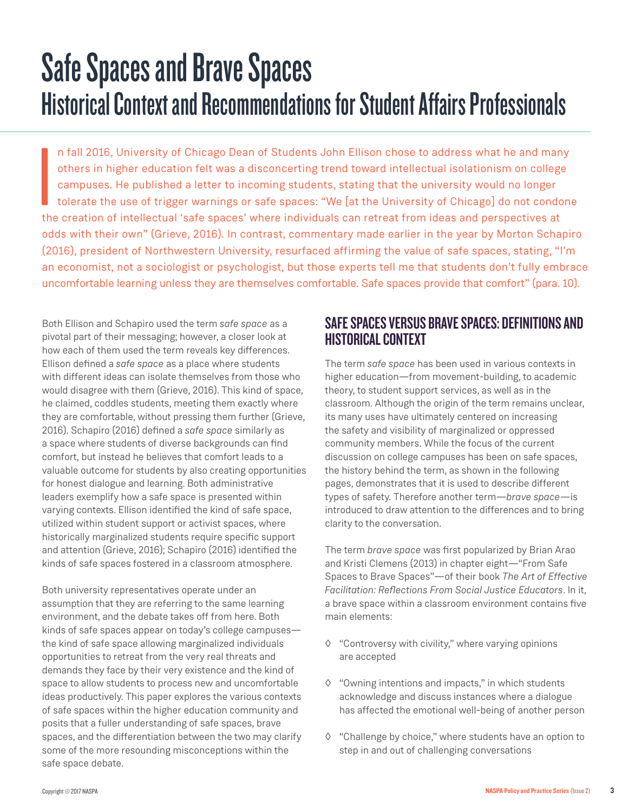# Safe Spaces and Brave Spaces Historical Context and Recommendations for Student Affairs Professionals

**I**<br>I<br>I the n fall 2016, University of Chicago Dean of Students John Ellison chose to address what he and many others in higher education felt was a disconcerting trend toward intellectual isolationism on college campuses. He published a letter to incoming students, stating that the university would no longer tolerate the use of trigger warnings or safe spaces: "We [at the University of Chicago] do not condone the creation of intellectual 'safe spaces' where individuals can retreat from ideas and perspectives at odds with their own" (Grieve, 2016). In contrast, commentary made earlier in the year by Morton Schapiro (2016), president of Northwestern University, resurfaced affirming the value of safe spaces, stating, "I'm an economist, not a sociologist or psychologist, but those experts tell me that students don't fully embrace uncomfortable learning unless they are themselves comfortable. Safe spaces provide that comfort" (para. 10).

Both Ellison and Schapiro used the term *safe space* as a pivotal part of their messaging; however, a closer look at how each of them used the term reveals key differences. Ellison defined a *safe space* as a place where students with different ideas can isolate themselves from those who would disagree with them (Grieve, 2016). This kind of space, he claimed, coddles students, meeting them exactly where they are comfortable, without pressing them further (Grieve, 2016). Schapiro (2016) defined a *safe space* similarly as a space where students of diverse backgrounds can find comfort, but instead he believes that comfort leads to a valuable outcome for students by also creating opportunities for honest dialogue and learning. Both administrative leaders exemplify how a safe space is presented within varying contexts. Ellison identified the kind of safe space, utilized within student support or activist spaces, where historically marginalized students require specific support and attention (Grieve, 2016); Schapiro (2016) identified the kinds of safe spaces fostered in a classroom atmosphere.

Both university representatives operate under an assumption that they are referring to the same learning environment, and the debate takes off from here. Both kinds of safe spaces appear on today's college campuses the kind of safe space allowing marginalized individuals opportunities to retreat from the very real threats and demands they face by their very existence and the kind of space to allow students to process new and uncomfortable ideas productively. This paper explores the various contexts of safe spaces within the higher education community and posits that a fuller understanding of safe spaces, brave spaces, and the differentiation between the two may clarify some of the more resounding misconceptions within the safe space debate.

# SAFE SPACES VERSUS BRAVE SPACES: DEFINITIONS AND HISTORICAL CONTEXT

The term *safe space* has been used in various contexts in higher education—from movement-building, to academic theory, to student support services, as well as in the classroom. Although the origin of the term remains unclear, its many uses have ultimately centered on increasing the safety and visibility of marginalized or oppressed community members. While the focus of the current discussion on college campuses has been on safe spaces, the history behind the term, as shown in the following pages, demonstrates that it is used to describe different types of safety. Therefore another term—*brave space*—is introduced to draw attention to the differences and to bring clarity to the conversation.

The term *brave space* was first popularized by Brian Arao and Kristi Clemens (2013) in chapter eight—"From Safe Spaces to Brave Spaces"—of their book *The Art of Effective Facilitation: Reflections From Social Justice Educators*. In it, a brave space within a classroom environment contains five main elements:

- ◊ "Controversy with civility," where varying opinions are accepted
- ◊ "Owning intentions and impacts," in which students acknowledge and discuss instances where a dialogue has affected the emotional well-being of another person
- ◊ "Challenge by choice," where students have an option to step in and out of challenging conversations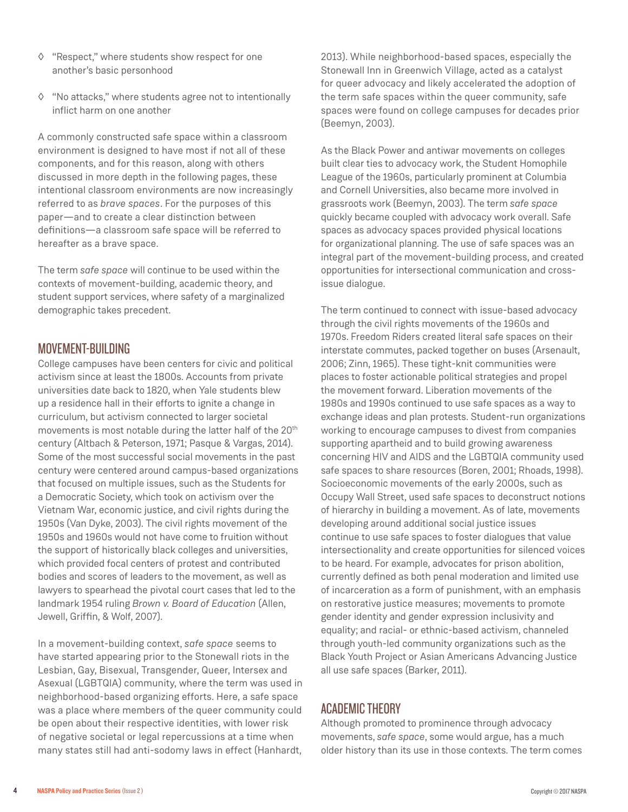- ◊ "Respect," where students show respect for one another's basic personhood
- ◊ "No attacks," where students agree not to intentionally inflict harm on one another

A commonly constructed safe space within a classroom environment is designed to have most if not all of these components, and for this reason, along with others discussed in more depth in the following pages, these intentional classroom environments are now increasingly referred to as *brave spaces*. For the purposes of this paper—and to create a clear distinction between definitions—a classroom safe space will be referred to hereafter as a brave space.

The term *safe space* will continue to be used within the contexts of movement-building, academic theory, and student support services, where safety of a marginalized demographic takes precedent.

#### MOVEMENT-BUILDING

College campuses have been centers for civic and political activism since at least the 1800s. Accounts from private universities date back to 1820, when Yale students blew up a residence hall in their efforts to ignite a change in curriculum, but activism connected to larger societal movements is most notable during the latter half of the 20th century (Altbach & Peterson, 1971; Pasque & Vargas, 2014). Some of the most successful social movements in the past century were centered around campus-based organizations that focused on multiple issues, such as the Students for a Democratic Society, which took on activism over the Vietnam War, economic justice, and civil rights during the 1950s (Van Dyke, 2003). The civil rights movement of the 1950s and 1960s would not have come to fruition without the support of historically black colleges and universities, which provided focal centers of protest and contributed bodies and scores of leaders to the movement, as well as lawyers to spearhead the pivotal court cases that led to the landmark 1954 ruling *Brown v. Board of Education* (Allen, Jewell, Griffin, & Wolf, 2007).

In a movement-building context, *safe space* seems to have started appearing prior to the Stonewall riots in the Lesbian, Gay, Bisexual, Transgender, Queer, Intersex and Asexual (LGBTQIA) community, where the term was used in neighborhood-based organizing efforts. Here, a safe space was a place where members of the queer community could be open about their respective identities, with lower risk of negative societal or legal repercussions at a time when many states still had anti-sodomy laws in effect (Hanhardt,

2013). While neighborhood-based spaces, especially the Stonewall Inn in Greenwich Village, acted as a catalyst for queer advocacy and likely accelerated the adoption of the term safe spaces within the queer community, safe spaces were found on college campuses for decades prior (Beemyn, 2003).

As the Black Power and antiwar movements on colleges built clear ties to advocacy work, the Student Homophile League of the 1960s, particularly prominent at Columbia and Cornell Universities, also became more involved in grassroots work (Beemyn, 2003). The term *safe space* quickly became coupled with advocacy work overall. Safe spaces as advocacy spaces provided physical locations for organizational planning. The use of safe spaces was an integral part of the movement-building process, and created opportunities for intersectional communication and crossissue dialogue.

The term continued to connect with issue-based advocacy through the civil rights movements of the 1960s and 1970s. Freedom Riders created literal safe spaces on their interstate commutes, packed together on buses (Arsenault, 2006; Zinn, 1965). These tight-knit communities were places to foster actionable political strategies and propel the movement forward. Liberation movements of the 1980s and 1990s continued to use safe spaces as a way to exchange ideas and plan protests. Student-run organizations working to encourage campuses to divest from companies supporting apartheid and to build growing awareness concerning HIV and AIDS and the LGBTQIA community used safe spaces to share resources (Boren, 2001; Rhoads, 1998). Socioeconomic movements of the early 2000s, such as Occupy Wall Street, used safe spaces to deconstruct notions of hierarchy in building a movement. As of late, movements developing around additional social justice issues continue to use safe spaces to foster dialogues that value intersectionality and create opportunities for silenced voices to be heard. For example, advocates for prison abolition, currently defined as both penal moderation and limited use of incarceration as a form of punishment, with an emphasis on restorative justice measures; movements to promote gender identity and gender expression inclusivity and equality; and racial- or ethnic-based activism, channeled through youth-led community organizations such as the Black Youth Project or Asian Americans Advancing Justice all use safe spaces (Barker, 2011).

#### ACADEMIC THEORY

Although promoted to prominence through advocacy movements, *safe space*, some would argue, has a much older history than its use in those contexts. The term comes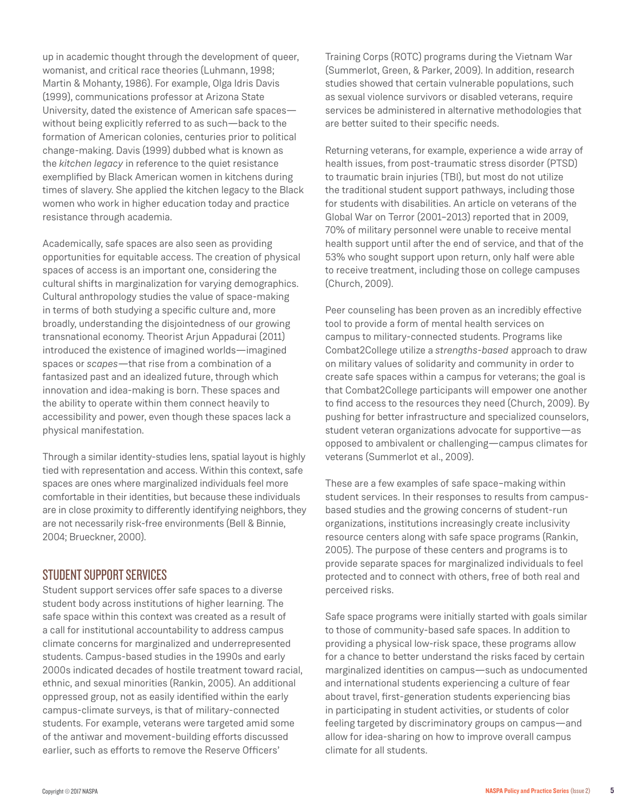up in academic thought through the development of queer, womanist, and critical race theories (Luhmann, 1998; Martin & Mohanty, 1986). For example, Olga Idris Davis (1999), communications professor at Arizona State University, dated the existence of American safe spaces without being explicitly referred to as such—back to the formation of American colonies, centuries prior to political change-making. Davis (1999) dubbed what is known as the *kitchen legacy* in reference to the quiet resistance exemplified by Black American women in kitchens during times of slavery. She applied the kitchen legacy to the Black women who work in higher education today and practice resistance through academia.

Academically, safe spaces are also seen as providing opportunities for equitable access. The creation of physical spaces of access is an important one, considering the cultural shifts in marginalization for varying demographics. Cultural anthropology studies the value of space-making in terms of both studying a specific culture and, more broadly, understanding the disjointedness of our growing transnational economy. Theorist Arjun Appadurai (2011) introduced the existence of imagined worlds—imagined spaces or *scapes*—that rise from a combination of a fantasized past and an idealized future, through which innovation and idea-making is born. These spaces and the ability to operate within them connect heavily to accessibility and power, even though these spaces lack a physical manifestation.

Through a similar identity-studies lens, spatial layout is highly tied with representation and access. Within this context, safe spaces are ones where marginalized individuals feel more comfortable in their identities, but because these individuals are in close proximity to differently identifying neighbors, they are not necessarily risk-free environments (Bell & Binnie, 2004; Brueckner, 2000).

#### STUDENT SUPPORT SERVICES

Student support services offer safe spaces to a diverse student body across institutions of higher learning. The safe space within this context was created as a result of a call for institutional accountability to address campus climate concerns for marginalized and underrepresented students. Campus-based studies in the 1990s and early 2000s indicated decades of hostile treatment toward racial, ethnic, and sexual minorities (Rankin, 2005). An additional oppressed group, not as easily identified within the early campus-climate surveys, is that of military-connected students. For example, veterans were targeted amid some of the antiwar and movement-building efforts discussed earlier, such as efforts to remove the Reserve Officers'

Training Corps (ROTC) programs during the Vietnam War (Summerlot, Green, & Parker, 2009). In addition, research studies showed that certain vulnerable populations, such as sexual violence survivors or disabled veterans, require services be administered in alternative methodologies that are better suited to their specific needs.

Returning veterans, for example, experience a wide array of health issues, from post-traumatic stress disorder (PTSD) to traumatic brain injuries (TBI), but most do not utilize the traditional student support pathways, including those for students with disabilities. An article on veterans of the Global War on Terror (2001–2013) reported that in 2009, 70% of military personnel were unable to receive mental health support until after the end of service, and that of the 53% who sought support upon return, only half were able to receive treatment, including those on college campuses (Church, 2009).

Peer counseling has been proven as an incredibly effective tool to provide a form of mental health services on campus to military-connected students. Programs like Combat2College utilize a *strengths-based* approach to draw on military values of solidarity and community in order to create safe spaces within a campus for veterans; the goal is that Combat2College participants will empower one another to find access to the resources they need (Church, 2009). By pushing for better infrastructure and specialized counselors, student veteran organizations advocate for supportive—as opposed to ambivalent or challenging—campus climates for veterans (Summerlot et al., 2009).

These are a few examples of safe space–making within student services. In their responses to results from campusbased studies and the growing concerns of student-run organizations, institutions increasingly create inclusivity resource centers along with safe space programs (Rankin, 2005). The purpose of these centers and programs is to provide separate spaces for marginalized individuals to feel protected and to connect with others, free of both real and perceived risks.

Safe space programs were initially started with goals similar to those of community-based safe spaces. In addition to providing a physical low-risk space, these programs allow for a chance to better understand the risks faced by certain marginalized identities on campus—such as undocumented and international students experiencing a culture of fear about travel, first-generation students experiencing bias in participating in student activities, or students of color feeling targeted by discriminatory groups on campus—and allow for idea-sharing on how to improve overall campus climate for all students.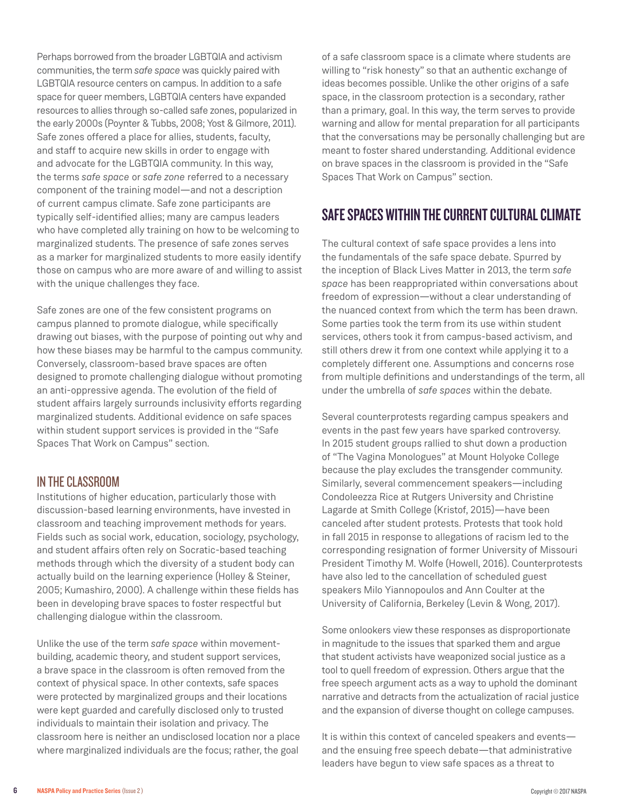Perhaps borrowed from the broader LGBTQIA and activism communities, the term *safe space* was quickly paired with LGBTQIA resource centers on campus. In addition to a safe space for queer members, LGBTQIA centers have expanded resources to allies through so-called safe zones, popularized in the early 2000s (Poynter & Tubbs, 2008; Yost & Gilmore, 2011). Safe zones offered a place for allies, students, faculty, and staff to acquire new skills in order to engage with and advocate for the LGBTQIA community. In this way, the terms *safe space* or *safe zone* referred to a necessary component of the training model—and not a description of current campus climate. Safe zone participants are typically self-identified allies; many are campus leaders who have completed ally training on how to be welcoming to marginalized students. The presence of safe zones serves as a marker for marginalized students to more easily identify those on campus who are more aware of and willing to assist with the unique challenges they face.

Safe zones are one of the few consistent programs on campus planned to promote dialogue, while specifically drawing out biases, with the purpose of pointing out why and how these biases may be harmful to the campus community. Conversely, classroom-based brave spaces are often designed to promote challenging dialogue without promoting an anti-oppressive agenda. The evolution of the field of student affairs largely surrounds inclusivity efforts regarding marginalized students. Additional evidence on safe spaces within student support services is provided in the "Safe Spaces That Work on Campus" section.

#### IN THE CLASSROOM

Institutions of higher education, particularly those with discussion-based learning environments, have invested in classroom and teaching improvement methods for years. Fields such as social work, education, sociology, psychology, and student affairs often rely on Socratic-based teaching methods through which the diversity of a student body can actually build on the learning experience (Holley & Steiner, 2005; Kumashiro, 2000). A challenge within these fields has been in developing brave spaces to foster respectful but challenging dialogue within the classroom.

Unlike the use of the term *safe space* within movementbuilding, academic theory, and student support services, a brave space in the classroom is often removed from the context of physical space. In other contexts, safe spaces were protected by marginalized groups and their locations were kept guarded and carefully disclosed only to trusted individuals to maintain their isolation and privacy. The classroom here is neither an undisclosed location nor a place where marginalized individuals are the focus; rather, the goal

of a safe classroom space is a climate where students are willing to "risk honesty" so that an authentic exchange of ideas becomes possible. Unlike the other origins of a safe space, in the classroom protection is a secondary, rather than a primary, goal. In this way, the term serves to provide warning and allow for mental preparation for all participants that the conversations may be personally challenging but are meant to foster shared understanding. Additional evidence on brave spaces in the classroom is provided in the "Safe Spaces That Work on Campus" section.

# SAFE SPACES WITHIN THE CURRENT CULTURAL CLIMATE

The cultural context of safe space provides a lens into the fundamentals of the safe space debate. Spurred by the inception of Black Lives Matter in 2013, the term *safe space* has been reappropriated within conversations about freedom of expression—without a clear understanding of the nuanced context from which the term has been drawn. Some parties took the term from its use within student services, others took it from campus-based activism, and still others drew it from one context while applying it to a completely different one. Assumptions and concerns rose from multiple definitions and understandings of the term, all under the umbrella of *safe spaces* within the debate.

Several counterprotests regarding campus speakers and events in the past few years have sparked controversy. In 2015 student groups rallied to shut down a production of "The Vagina Monologues" at Mount Holyoke College because the play excludes the transgender community. Similarly, several commencement speakers—including Condoleezza Rice at Rutgers University and Christine Lagarde at Smith College (Kristof, 2015)—have been canceled after student protests. Protests that took hold in fall 2015 in response to allegations of racism led to the corresponding resignation of former University of Missouri President Timothy M. Wolfe (Howell, 2016). Counterprotests have also led to the cancellation of scheduled guest speakers Milo Yiannopoulos and Ann Coulter at the University of California, Berkeley (Levin & Wong, 2017).

Some onlookers view these responses as disproportionate in magnitude to the issues that sparked them and argue that student activists have weaponized social justice as a tool to quell freedom of expression. Others argue that the free speech argument acts as a way to uphold the dominant narrative and detracts from the actualization of racial justice and the expansion of diverse thought on college campuses.

It is within this context of canceled speakers and events and the ensuing free speech debate—that administrative leaders have begun to view safe spaces as a threat to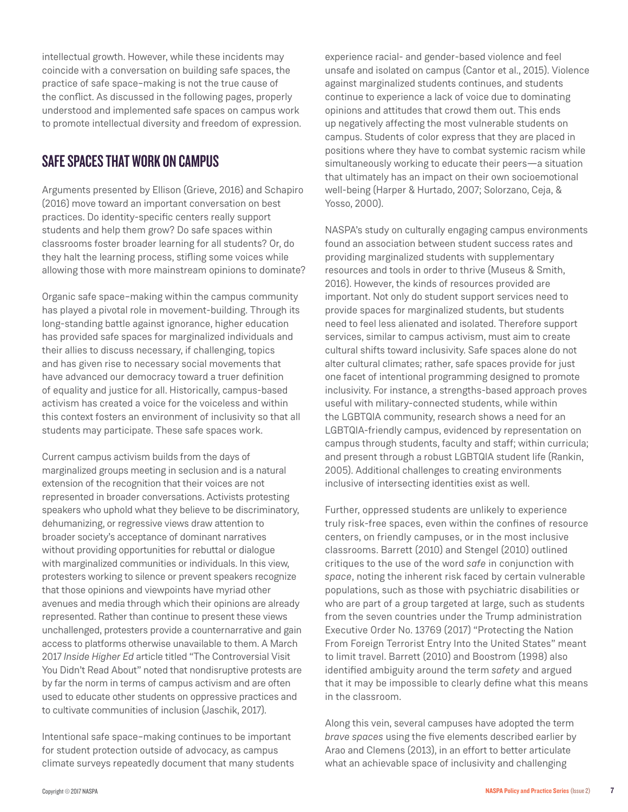intellectual growth. However, while these incidents may coincide with a conversation on building safe spaces, the practice of safe space–making is not the true cause of the conflict. As discussed in the following pages, properly understood and implemented safe spaces on campus work to promote intellectual diversity and freedom of expression.

## SAFE SPACES THAT WORK ON CAMPUS

Arguments presented by Ellison (Grieve, 2016) and Schapiro (2016) move toward an important conversation on best practices. Do identity-specific centers really support students and help them grow? Do safe spaces within classrooms foster broader learning for all students? Or, do they halt the learning process, stifling some voices while allowing those with more mainstream opinions to dominate?

Organic safe space–making within the campus community has played a pivotal role in movement-building. Through its long-standing battle against ignorance, higher education has provided safe spaces for marginalized individuals and their allies to discuss necessary, if challenging, topics and has given rise to necessary social movements that have advanced our democracy toward a truer definition of equality and justice for all. Historically, campus-based activism has created a voice for the voiceless and within this context fosters an environment of inclusivity so that all students may participate. These safe spaces work.

Current campus activism builds from the days of marginalized groups meeting in seclusion and is a natural extension of the recognition that their voices are not represented in broader conversations. Activists protesting speakers who uphold what they believe to be discriminatory, dehumanizing, or regressive views draw attention to broader society's acceptance of dominant narratives without providing opportunities for rebuttal or dialogue with marginalized communities or individuals. In this view, protesters working to silence or prevent speakers recognize that those opinions and viewpoints have myriad other avenues and media through which their opinions are already represented. Rather than continue to present these views unchallenged, protesters provide a counternarrative and gain access to platforms otherwise unavailable to them. A March 2017 *Inside Higher Ed* article titled "The Controversial Visit You Didn't Read About" noted that nondisruptive protests are by far the norm in terms of campus activism and are often used to educate other students on oppressive practices and to cultivate communities of inclusion (Jaschik, 2017).

Intentional safe space–making continues to be important for student protection outside of advocacy, as campus climate surveys repeatedly document that many students

experience racial- and gender-based violence and feel unsafe and isolated on campus (Cantor et al., 2015). Violence against marginalized students continues, and students continue to experience a lack of voice due to dominating opinions and attitudes that crowd them out. This ends up negatively affecting the most vulnerable students on campus. Students of color express that they are placed in positions where they have to combat systemic racism while simultaneously working to educate their peers—a situation that ultimately has an impact on their own socioemotional well-being (Harper & Hurtado, 2007; Solorzano, Ceja, & Yosso, 2000).

NASPA's study on culturally engaging campus environments found an association between student success rates and providing marginalized students with supplementary resources and tools in order to thrive (Museus & Smith, 2016). However, the kinds of resources provided are important. Not only do student support services need to provide spaces for marginalized students, but students need to feel less alienated and isolated. Therefore support services, similar to campus activism, must aim to create cultural shifts toward inclusivity. Safe spaces alone do not alter cultural climates; rather, safe spaces provide for just one facet of intentional programming designed to promote inclusivity. For instance, a strengths-based approach proves useful with military-connected students, while within the LGBTQIA community, research shows a need for an LGBTQIA-friendly campus, evidenced by representation on campus through students, faculty and staff; within curricula; and present through a robust LGBTQIA student life (Rankin, 2005). Additional challenges to creating environments inclusive of intersecting identities exist as well.

Further, oppressed students are unlikely to experience truly risk-free spaces, even within the confines of resource centers, on friendly campuses, or in the most inclusive classrooms. Barrett (2010) and Stengel (2010) outlined critiques to the use of the word *safe* in conjunction with *space*, noting the inherent risk faced by certain vulnerable populations, such as those with psychiatric disabilities or who are part of a group targeted at large, such as students from the seven countries under the Trump administration Executive Order No. 13769 (2017) "Protecting the Nation From Foreign Terrorist Entry Into the United States" meant to limit travel. Barrett (2010) and Boostrom (1998) also identified ambiguity around the term *safety* and argued that it may be impossible to clearly define what this means in the classroom.

Along this vein, several campuses have adopted the term *brave spaces* using the five elements described earlier by Arao and Clemens (2013), in an effort to better articulate what an achievable space of inclusivity and challenging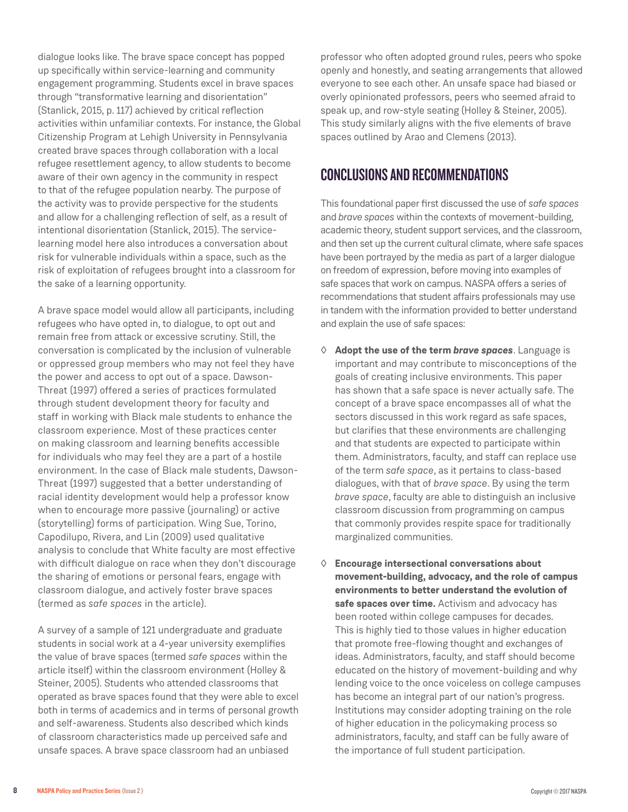dialogue looks like. The brave space concept has popped up specifically within service-learning and community engagement programming. Students excel in brave spaces through "transformative learning and disorientation" (Stanlick, 2015, p. 117) achieved by critical reflection activities within unfamiliar contexts. For instance, the Global Citizenship Program at Lehigh University in Pennsylvania created brave spaces through collaboration with a local refugee resettlement agency, to allow students to become aware of their own agency in the community in respect to that of the refugee population nearby. The purpose of the activity was to provide perspective for the students and allow for a challenging reflection of self, as a result of intentional disorientation (Stanlick, 2015). The servicelearning model here also introduces a conversation about risk for vulnerable individuals within a space, such as the risk of exploitation of refugees brought into a classroom for the sake of a learning opportunity.

A brave space model would allow all participants, including refugees who have opted in, to dialogue, to opt out and remain free from attack or excessive scrutiny. Still, the conversation is complicated by the inclusion of vulnerable or oppressed group members who may not feel they have the power and access to opt out of a space. Dawson-Threat (1997) offered a series of practices formulated through student development theory for faculty and staff in working with Black male students to enhance the classroom experience. Most of these practices center on making classroom and learning benefits accessible for individuals who may feel they are a part of a hostile environment. In the case of Black male students, Dawson-Threat (1997) suggested that a better understanding of racial identity development would help a professor know when to encourage more passive (journaling) or active (storytelling) forms of participation. Wing Sue, Torino, Capodilupo, Rivera, and Lin (2009) used qualitative analysis to conclude that White faculty are most effective with difficult dialogue on race when they don't discourage the sharing of emotions or personal fears, engage with classroom dialogue, and actively foster brave spaces (termed as *safe spaces* in the article).

A survey of a sample of 121 undergraduate and graduate students in social work at a 4-year university exemplifies the value of brave spaces (termed *safe spaces* within the article itself) within the classroom environment (Holley & Steiner, 2005). Students who attended classrooms that operated as brave spaces found that they were able to excel both in terms of academics and in terms of personal growth and self-awareness. Students also described which kinds of classroom characteristics made up perceived safe and unsafe spaces. A brave space classroom had an unbiased

professor who often adopted ground rules, peers who spoke openly and honestly, and seating arrangements that allowed everyone to see each other. An unsafe space had biased or overly opinionated professors, peers who seemed afraid to speak up, and row-style seating (Holley & Steiner, 2005). This study similarly aligns with the five elements of brave spaces outlined by Arao and Clemens (2013).

# CONCLUSIONS AND RECOMMENDATIONS

This foundational paper first discussed the use of *safe spaces* and *brave spaces* within the contexts of movement-building, academic theory, student support services, and the classroom, and then set up the current cultural climate, where safe spaces have been portrayed by the media as part of a larger dialogue on freedom of expression, before moving into examples of safe spaces that work on campus. NASPA offers a series of recommendations that student affairs professionals may use in tandem with the information provided to better understand and explain the use of safe spaces:

- ◊ **Adopt the use of the term** *brave spaces*. Language is important and may contribute to misconceptions of the goals of creating inclusive environments. This paper has shown that a safe space is never actually safe. The concept of a brave space encompasses all of what the sectors discussed in this work regard as safe spaces, but clarifies that these environments are challenging and that students are expected to participate within them. Administrators, faculty, and staff can replace use of the term *safe space*, as it pertains to class-based dialogues, with that of *brave space*. By using the term *brave space*, faculty are able to distinguish an inclusive classroom discussion from programming on campus that commonly provides respite space for traditionally marginalized communities.
- ◊ **Encourage intersectional conversations about movement-building, advocacy, and the role of campus environments to better understand the evolution of safe spaces over time.** Activism and advocacy has been rooted within college campuses for decades. This is highly tied to those values in higher education that promote free-flowing thought and exchanges of ideas. Administrators, faculty, and staff should become educated on the history of movement-building and why lending voice to the once voiceless on college campuses has become an integral part of our nation's progress. Institutions may consider adopting training on the role of higher education in the policymaking process so administrators, faculty, and staff can be fully aware of the importance of full student participation.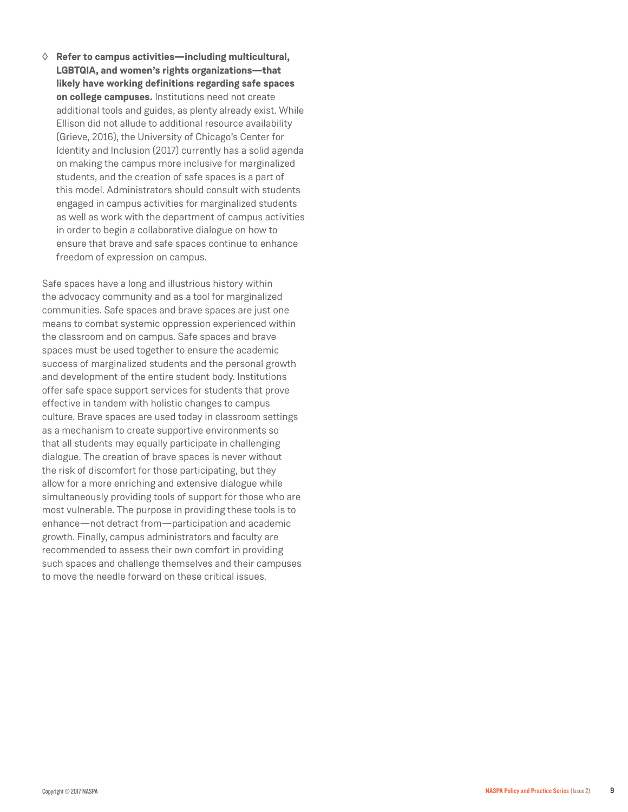◊ **Refer to campus activities—including multicultural, LGBTQIA, and women's rights organizations—that likely have working definitions regarding safe spaces on college campuses.** Institutions need not create additional tools and guides, as plenty already exist. While Ellison did not allude to additional resource availability (Grieve, 2016), the University of Chicago's Center for Identity and Inclusion (2017) currently has a solid agenda on making the campus more inclusive for marginalized students, and the creation of safe spaces is a part of this model. Administrators should consult with students engaged in campus activities for marginalized students as well as work with the department of campus activities in order to begin a collaborative dialogue on how to ensure that brave and safe spaces continue to enhance freedom of expression on campus.

Safe spaces have a long and illustrious history within the advocacy community and as a tool for marginalized communities. Safe spaces and brave spaces are just one means to combat systemic oppression experienced within the classroom and on campus. Safe spaces and brave spaces must be used together to ensure the academic success of marginalized students and the personal growth and development of the entire student body. Institutions offer safe space support services for students that prove effective in tandem with holistic changes to campus culture. Brave spaces are used today in classroom settings as a mechanism to create supportive environments so that all students may equally participate in challenging dialogue. The creation of brave spaces is never without the risk of discomfort for those participating, but they allow for a more enriching and extensive dialogue while simultaneously providing tools of support for those who are most vulnerable. The purpose in providing these tools is to enhance—not detract from—participation and academic growth. Finally, campus administrators and faculty are recommended to assess their own comfort in providing such spaces and challenge themselves and their campuses to move the needle forward on these critical issues.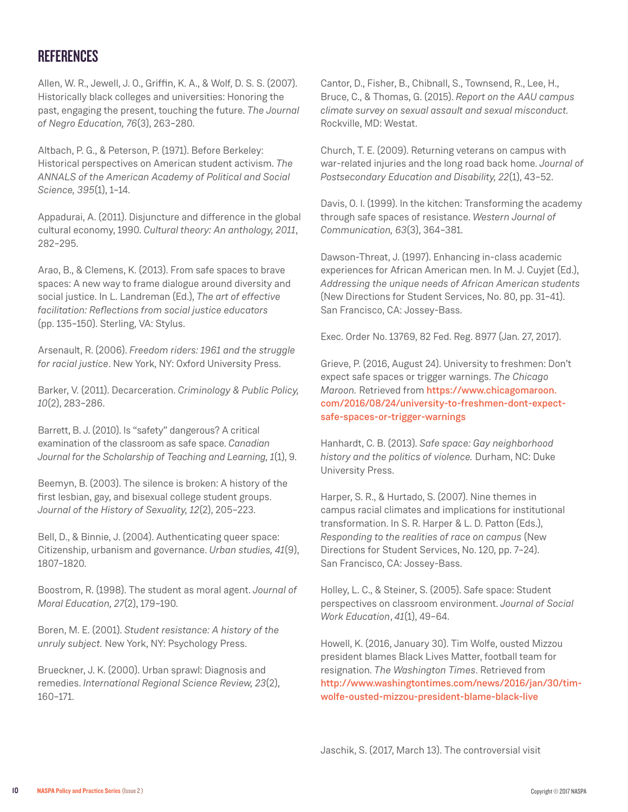## **REFERENCES**

Allen, W. R., Jewell, J. O., Griffin, K. A., & Wolf, D. S. S. (2007). Historically black colleges and universities: Honoring the past, engaging the present, touching the future. *The Journal of Negro Education, 76*(3), 263–280.

Altbach, P. G., & Peterson, P. (1971). Before Berkeley: Historical perspectives on American student activism. *The ANNALS of the American Academy of Political and Social Science, 395*(1), 1–14.

Appadurai, A. (2011). Disjuncture and difference in the global cultural economy, 1990. *Cultural theory: An anthology, 2011*, 282–295.

Arao, B., & Clemens, K. (2013). From safe spaces to brave spaces: A new way to frame dialogue around diversity and social justice. In L. Landreman (Ed.), *The art of effective facilitation: Reflections from social justice educators* (pp. 135–150). Sterling, VA: Stylus.

Arsenault, R. (2006). *Freedom riders: 1961 and the struggle for racial justice*. New York, NY: Oxford University Press.

Barker, V. (2011). Decarceration. *Criminology & Public Policy, 10*(2), 283–286.

Barrett, B. J. (2010). Is "safety" dangerous? A critical examination of the classroom as safe space. *Canadian Journal for the Scholarship of Teaching and Learning, 1*(1), 9.

Beemyn, B. (2003). The silence is broken: A history of the first lesbian, gay, and bisexual college student groups. *Journal of the History of Sexuality, 12*(2), 205–223.

Bell, D., & Binnie, J. (2004). Authenticating queer space: Citizenship, urbanism and governance. *Urban studies, 41*(9), 1807–1820.

Boostrom, R. (1998). The student as moral agent. *Journal of Moral Education, 27*(2), 179–190.

Boren, M. E. (2001). *Student resistance: A history of the unruly subject.* New York, NY: Psychology Press.

Brueckner, J. K. (2000). Urban sprawl: Diagnosis and remedies. *International Regional Science Review, 23*(2), 160–171.

Cantor, D., Fisher, B., Chibnall, S., Townsend, R., Lee, H., Bruce, C., & Thomas, G. (2015). *Report on the AAU campus climate survey on sexual assault and sexual misconduct.* Rockville, MD: Westat.

Church, T. E. (2009). Returning veterans on campus with war-related injuries and the long road back home. *Journal of Postsecondary Education and Disability, 22*(1), 43–52.

Davis, O. I. (1999). In the kitchen: Transforming the academy through safe spaces of resistance. *Western Journal of Communication, 63*(3), 364–381.

Dawson-Threat, J. (1997). Enhancing in-class academic experiences for African American men. In M. J. Cuyjet (Ed.), *Addressing the unique needs of African American students* (New Directions for Student Services, No. 80, pp. 31–41). San Francisco, CA: Jossey-Bass.

Exec. Order No. 13769, 82 Fed. Reg. 8977 (Jan. 27, 2017).

Grieve, P. (2016, August 24). University to freshmen: Don't expect safe spaces or trigger warnings. *The Chicago Maroon.* Retrieved from https://www.chicagomaroon. com/2016/08/24/university-to-freshmen-dont-expectsafe-spaces-or-trigger-warnings

Hanhardt, C. B. (2013). *Safe space: Gay neighborhood history and the politics of violence.* Durham, NC: Duke University Press.

Harper, S. R., & Hurtado, S. (2007). Nine themes in campus racial climates and implications for institutional transformation. In S. R. Harper & L. D. Patton (Eds.), *Responding to the realities of race on campus* (New Directions for Student Services, No. 120, pp. 7–24). San Francisco, CA: Jossey-Bass.

Holley, L. C., & Steiner, S. (2005). Safe space: Student perspectives on classroom environment. *Journal of Social Work Education*, *41*(1), 49–64.

Howell, K. (2016, January 30). Tim Wolfe, ousted Mizzou president blames Black Lives Matter, football team for resignation. *The Washington Times*. Retrieved from http://www.washingtontimes.com/news/2016/jan/30/timwolfe-ousted-mizzou-president-blame-black-live

Jaschik, S. (2017, March 13). The controversial visit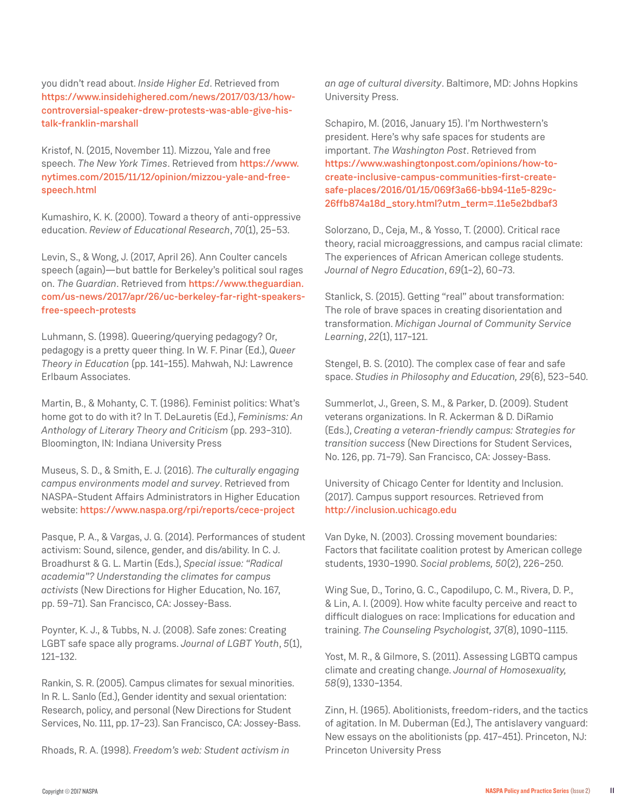you didn't read about. *Inside Higher Ed*. Retrieved from https://www.insidehighered.com/news/2017/03/13/howcontroversial-speaker-drew-protests-was-able-give-histalk-franklin-marshall

Kristof, N. (2015, November 11). Mizzou, Yale and free speech. *The New York Times*. Retrieved from https://www. nytimes.com/2015/11/12/opinion/mizzou-yale-and-freespeech.html

Kumashiro, K. K. (2000). Toward a theory of anti-oppressive education. *Review of Educational Research*, *70*(1), 25–53.

Levin, S., & Wong, J. (2017, April 26). Ann Coulter cancels speech (again)—but battle for Berkeley's political soul rages on. *The Guardian*. Retrieved from https://www.theguardian. com/us-news/2017/apr/26/uc-berkeley-far-right-speakersfree-speech-protests

Luhmann, S. (1998). Queering/querying pedagogy? Or, pedagogy is a pretty queer thing. In W. F. Pinar (Ed.), *Queer Theory in Education* (pp. 141–155). Mahwah, NJ: Lawrence Erlbaum Associates.

Martin, B., & Mohanty, C. T. (1986). Feminist politics: What's home got to do with it? In T. DeLauretis (Ed.), *Feminisms: An Anthology of Literary Theory and Criticism* (pp. 293–310). Bloomington, IN: Indiana University Press

Museus, S. D., & Smith, E. J. (2016). *The culturally engaging campus environments model and survey*. Retrieved from NASPA–Student Affairs Administrators in Higher Education website: https://www.naspa.org/rpi/reports/cece-project

Pasque, P. A., & Vargas, J. G. (2014). Performances of student activism: Sound, silence, gender, and dis/ability. In C. J. Broadhurst & G. L. Martin (Eds.), *Special issue: "Radical academia"? Understanding the climates for campus activists* (New Directions for Higher Education, No. 167, pp. 59–71). San Francisco, CA: Jossey-Bass.

Poynter, K. J., & Tubbs, N. J. (2008). Safe zones: Creating LGBT safe space ally programs. *Journal of LGBT Youth*, *5*(1), 121–132.

Rankin, S. R. (2005). Campus climates for sexual minorities. In R. L. Sanlo (Ed.), Gender identity and sexual orientation: Research, policy, and personal (New Directions for Student Services, No. 111, pp. 17–23). San Francisco, CA: Jossey-Bass.

Rhoads, R. A. (1998). *Freedom's web: Student activism in* 

*an age of cultural diversity*. Baltimore, MD: Johns Hopkins University Press.

Schapiro, M. (2016, January 15). I'm Northwestern's president. Here's why safe spaces for students are important. *The Washington Post*. Retrieved from https://www.washingtonpost.com/opinions/how-tocreate-inclusive-campus-communities-first-createsafe-places/2016/01/15/069f3a66-bb94-11e5-829c-26ffb874a18d\_story.html?utm\_term=.11e5e2bdbaf3

Solorzano, D., Ceja, M., & Yosso, T. (2000). Critical race theory, racial microaggressions, and campus racial climate: The experiences of African American college students. *Journal of Negro Education*, *69*(1–2), 60–73.

Stanlick, S. (2015). Getting "real" about transformation: The role of brave spaces in creating disorientation and transformation. *Michigan Journal of Community Service Learning*, *22*(1), 117–121.

Stengel, B. S. (2010). The complex case of fear and safe space. *Studies in Philosophy and Education, 29*(6), 523–540.

Summerlot, J., Green, S. M., & Parker, D. (2009). Student veterans organizations. In R. Ackerman & D. DiRamio (Eds.), *Creating a veteran-friendly campus: Strategies for transition success* (New Directions for Student Services, No. 126, pp. 71–79). San Francisco, CA: Jossey-Bass.

University of Chicago Center for Identity and Inclusion. (2017). Campus support resources. Retrieved from http://inclusion.uchicago.edu

Van Dyke, N. (2003). Crossing movement boundaries: Factors that facilitate coalition protest by American college students, 1930–1990. *Social problems, 50*(2), 226–250.

Wing Sue, D., Torino, G. C., Capodilupo, C. M., Rivera, D. P., & Lin, A. I. (2009). How white faculty perceive and react to difficult dialogues on race: Implications for education and training. *The Counseling Psychologist, 37*(8), 1090–1115.

Yost, M. R., & Gilmore, S. (2011). Assessing LGBTQ campus climate and creating change. *Journal of Homosexuality, 58*(9), 1330–1354.

Zinn, H. (1965). Abolitionists, freedom-riders, and the tactics of agitation. In M. Duberman (Ed.), The antislavery vanguard: New essays on the abolitionists (pp. 417–451). Princeton, NJ: Princeton University Press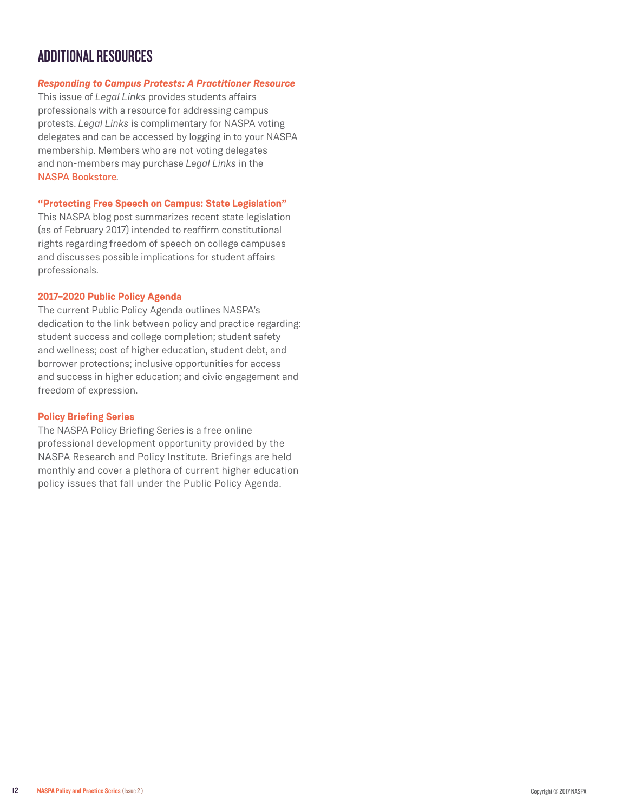### ADDITIONAL RESOURCES

#### *[Responding to Campus Protests: A Practitioner Resource](https://www.naspa.org/rpi/reports/responding-to-campus-protests-a-practitioner-resource)*

This issue of *Legal Links* provides students affairs professionals with a resource for addressing campus protests. *Legal Links* is complimentary for NASPA voting delegates and can be accessed by logging in to your NASPA membership. Members who are not voting delegates and non-members may purchase *Legal Links* in the [NASPA Bookstore](https://www.naspa.org/publications/books/campus-protests)*.*

#### **["Protecting Free Speech on Campus: State Legislation"](https://www.naspa.org/rpi/posts/protecting-free-speech-on-campus-state-legislation)**

This NASPA blog post summarizes recent state legislation (as of February 2017) intended to reaffirm constitutional rights regarding freedom of speech on college campuses and discusses possible implications for student affairs professionals.

#### **[2017–2020 Public Policy Agenda](https://www.naspa.org/constituent-groups/groups/public-policy-division/initiatives/public-policy-agenda)**

The current Public Policy Agenda outlines NASPA's dedication to the link between policy and practice regarding: student success and college completion; student safety and wellness; cost of higher education, student debt, and borrower protections; inclusive opportunities for access and success in higher education; and civic engagement and freedom of expression.

#### **[Policy Briefing Series](https://olc.naspa.org/catalog/naspa-policy-briefing-series)**

The NASPA Policy Briefing Series is a free online professional development opportunity provided by the NASPA Research and Policy Institute. Briefings are held monthly and cover a plethora of current higher education policy issues that fall under the Public Policy Agenda.